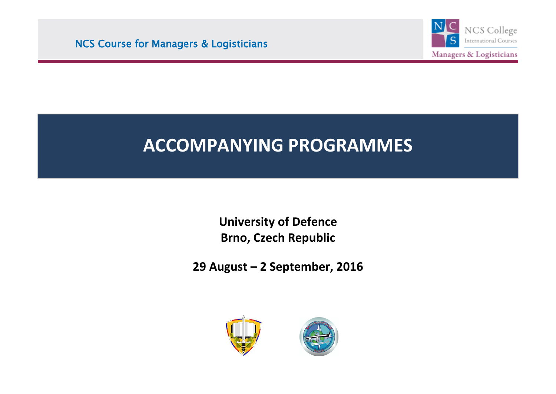NCS Course for Managers & Logisticians

i<br>I



## **ACCOMPANYING PROGRAMMES**

í

**University of Defence Brno, Czech Republic**

**29 August – 2 September, 2016**



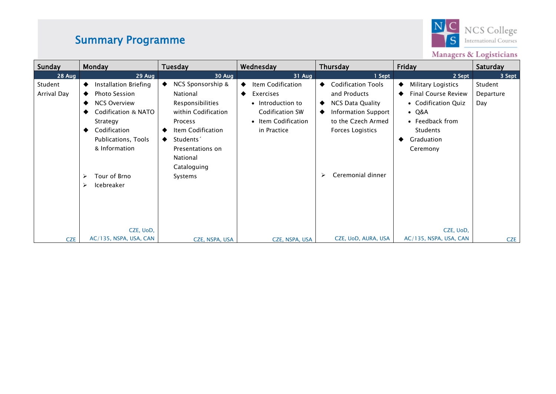## Summary Programme



Managers & Logisticians

| Sunday                 | Monday                                                                                                                                                                                                       | Tuesday                                                                                                                                                                                                  | Wednesday                                                                                                         | Thursday                                                                                                                                                                              | Friday                                                                                                                                                   | Saturday                    |
|------------------------|--------------------------------------------------------------------------------------------------------------------------------------------------------------------------------------------------------------|----------------------------------------------------------------------------------------------------------------------------------------------------------------------------------------------------------|-------------------------------------------------------------------------------------------------------------------|---------------------------------------------------------------------------------------------------------------------------------------------------------------------------------------|----------------------------------------------------------------------------------------------------------------------------------------------------------|-----------------------------|
| 28 Aug                 | 29 Aug                                                                                                                                                                                                       | 30 Aug                                                                                                                                                                                                   | 31 Aug                                                                                                            | 1 Sept                                                                                                                                                                                | 2 Sept                                                                                                                                                   | 3 Sept                      |
| Student<br>Arrival Day | Installation Briefing<br>٠<br><b>Photo Session</b><br><b>NCS Overview</b><br>Codification & NATO<br>Strategy<br>Codification<br>Publications, Tools<br>& Information<br>Tour of Brno<br>⋗<br>Icebreaker<br>⋗ | NCS Sponsorship &<br>$\bullet$<br>National<br>Responsibilities<br>within Codification<br>Process<br>Item Codification<br>Students <sup>2</sup><br>Presentations on<br>National<br>Cataloguing<br>Systems | Item Codification<br>Exercises<br>٠<br>• Introduction to<br>Codification SW<br>• Item Codification<br>in Practice | <b>Codification Tools</b><br>٠<br>and Products<br>NCS Data Quality<br>٠<br><b>Information Support</b><br>٠<br>to the Czech Armed<br><b>Forces Logistics</b><br>Ceremonial dinner<br>↘ | Military Logistics<br><b>Final Course Review</b><br>• Codification Quiz<br>$\bullet$ Q&A<br>• Feedback from<br><b>Students</b><br>Graduation<br>Ceremony | Student<br>Departure<br>Day |
| <b>CZE</b>             | CZE, UoD,<br>AC/135, NSPA, USA, CAN                                                                                                                                                                          | CZE, NSPA, USA                                                                                                                                                                                           | CZE, NSPA, USA                                                                                                    | CZE, UoD, AURA, USA                                                                                                                                                                   | CZE, UoD,<br>AC/135, NSPA, USA, CAN                                                                                                                      | <b>CZE</b>                  |